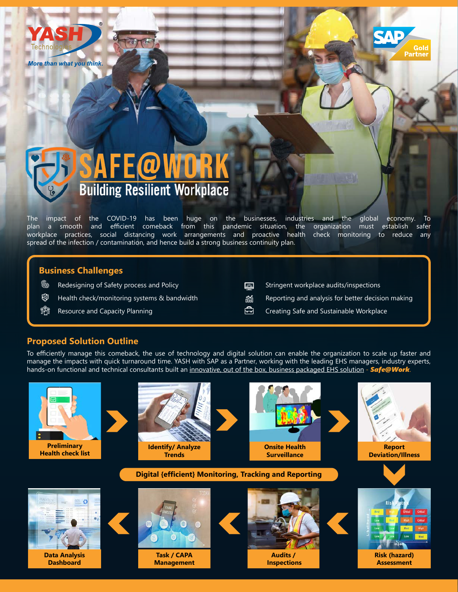







The impact of the COVID-19 has been huge on the businesses, industries and the global economy. To plan a smooth and efficient comeback from this pandemic situation, the organization must establish safer workplace practices, social distancing work arrangements and proactive health check monitoring to reduce any spread of the infection / contamination, and hence build a strong business continuity plan.

## **Business Challenges**

- **©⊙** Redesigning of Safety process and Policy
- ☜ Health check/monitoring systems & bandwidth
- eïn Resource and Capacity Planning
- Stringent workplace audits/inspections 网
- Reporting and analysis for better decision making ñí
- 白 Creating Safe and Sustainable Workplace

## **Proposed Solution Outline**

To efficiently manage this comeback, the use of technology and digital solution can enable the organization to scale up faster and manage the impacts with quick turnaround time. YASH with SAP as a Partner, working with the leading EHS managers, industry experts, hands-on functional and technical consultants built an innovative, out of the box, business packaged EHS solution - Safe